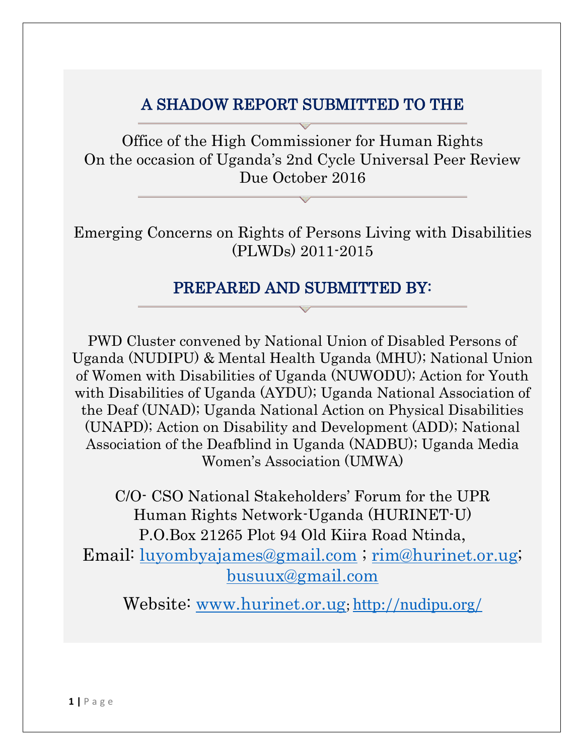# A SHADOW REPORT SUBMITTED TO THE

Office of the High Commissioner for Human Rights On the occasion of Uganda's 2nd Cycle Universal Peer Review Due October 2016

Emerging Concerns on Rights of Persons Living with Disabilities (PLWDs) 2011-2015

# PREPARED AND SUBMITTED BY:

PWD Cluster convened by National Union of Disabled Persons of Uganda (NUDIPU) & Mental Health Uganda (MHU); National Union of Women with Disabilities of Uganda (NUWODU); Action for Youth with Disabilities of Uganda (AYDU); Uganda National Association of the Deaf (UNAD); Uganda National Action on Physical Disabilities (UNAPD); Action on Disability and Development (ADD); National Association of the Deafblind in Uganda (NADBU); Uganda Media Women's Association (UMWA)

C/O- CSO National Stakeholders' Forum for the UPR Human Rights Network-Uganda (HURINET-U) P.O.Box 21265 Plot 94 Old Kiira Road Ntinda, Email: [luyombyajames@gmail.com](mailto:luyombyajames@gmail.com) ; [rim@hurinet.or.ug;](mailto:rim@hurinet.or.ug) [busuux@gmail.com](mailto:busuux@gmail.com)

Website: [www.hurinet.or.ug](http://www.hurinet.or.ug/); <http://nudipu.org/>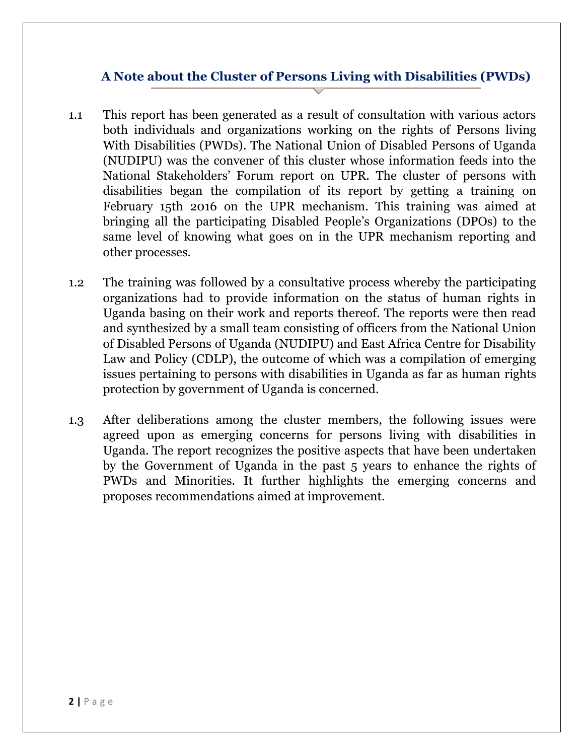#### **A Note about the Cluster of Persons Living with Disabilities (PWDs)**

- 1.1 This report has been generated as a result of consultation with various actors both individuals and organizations working on the rights of Persons living With Disabilities (PWDs). The National Union of Disabled Persons of Uganda (NUDIPU) was the convener of this cluster whose information feeds into the National Stakeholders' Forum report on UPR. The cluster of persons with disabilities began the compilation of its report by getting a training on February 15th 2016 on the UPR mechanism. This training was aimed at bringing all the participating Disabled People's Organizations (DPOs) to the same level of knowing what goes on in the UPR mechanism reporting and other processes.
- 1.2 The training was followed by a consultative process whereby the participating organizations had to provide information on the status of human rights in Uganda basing on their work and reports thereof. The reports were then read and synthesized by a small team consisting of officers from the National Union of Disabled Persons of Uganda (NUDIPU) and East Africa Centre for Disability Law and Policy (CDLP), the outcome of which was a compilation of emerging issues pertaining to persons with disabilities in Uganda as far as human rights protection by government of Uganda is concerned.
- 1.3 After deliberations among the cluster members, the following issues were agreed upon as emerging concerns for persons living with disabilities in Uganda. The report recognizes the positive aspects that have been undertaken by the Government of Uganda in the past 5 years to enhance the rights of PWDs and Minorities. It further highlights the emerging concerns and proposes recommendations aimed at improvement.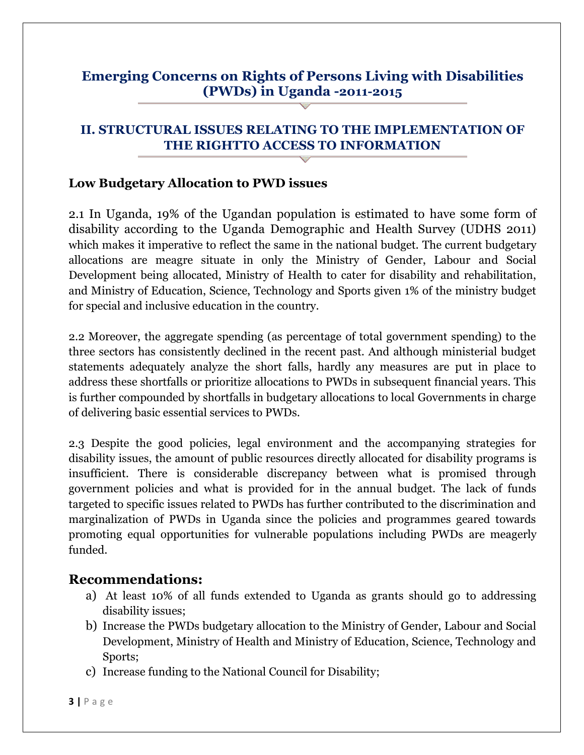# **Emerging Concerns on Rights of Persons Living with Disabilities (PWDs) in Uganda -2011-2015**

### **II. STRUCTURAL ISSUES RELATING TO THE IMPLEMENTATION OF THE RIGHTTO ACCESS TO INFORMATION**

#### **Low Budgetary Allocation to PWD issues**

2.1 In Uganda, 19% of the Ugandan population is estimated to have some form of disability according to the Uganda Demographic and Health Survey (UDHS 2011) which makes it imperative to reflect the same in the national budget. The current budgetary allocations are meagre situate in only the Ministry of Gender, Labour and Social Development being allocated, Ministry of Health to cater for disability and rehabilitation, and Ministry of Education, Science, Technology and Sports given 1% of the ministry budget for special and inclusive education in the country.

2.2 Moreover, the aggregate spending (as percentage of total government spending) to the three sectors has consistently declined in the recent past. And although ministerial budget statements adequately analyze the short falls, hardly any measures are put in place to address these shortfalls or prioritize allocations to PWDs in subsequent financial years. This is further compounded by shortfalls in budgetary allocations to local Governments in charge of delivering basic essential services to PWDs.

2.3 Despite the good policies, legal environment and the accompanying strategies for disability issues, the amount of public resources directly allocated for disability programs is insufficient. There is considerable discrepancy between what is promised through government policies and what is provided for in the annual budget. The lack of funds targeted to specific issues related to PWDs has further contributed to the discrimination and marginalization of PWDs in Uganda since the policies and programmes geared towards promoting equal opportunities for vulnerable populations including PWDs are meagerly funded.

- a) At least 10% of all funds extended to Uganda as grants should go to addressing disability issues;
- b) Increase the PWDs budgetary allocation to the Ministry of Gender, Labour and Social Development, Ministry of Health and Ministry of Education, Science, Technology and Sports;
- c) Increase funding to the National Council for Disability;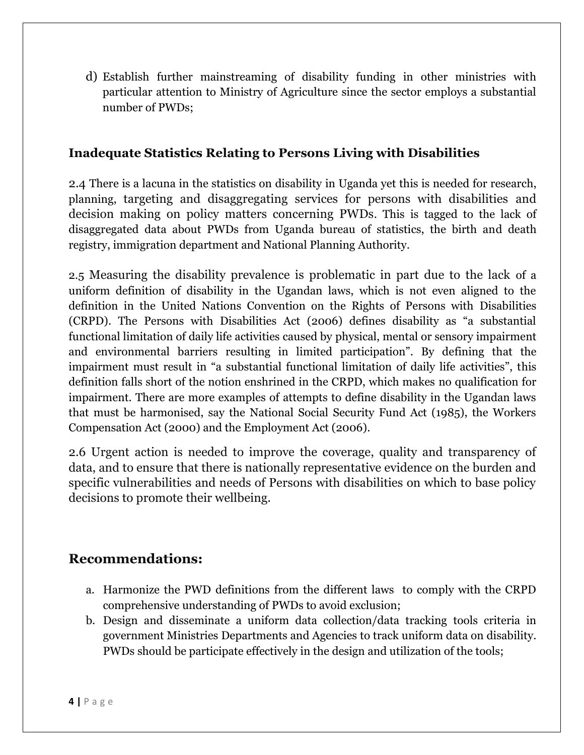d) Establish further mainstreaming of disability funding in other ministries with particular attention to Ministry of Agriculture since the sector employs a substantial number of PWDs;

#### **Inadequate Statistics Relating to Persons Living with Disabilities**

2.4 There is a lacuna in the statistics on disability in Uganda yet this is needed for research, planning, targeting and disaggregating services for persons with disabilities and decision making on policy matters concerning PWDs. This is tagged to the lack of disaggregated data about PWDs from Uganda bureau of statistics, the birth and death registry, immigration department and National Planning Authority.

2.5 Measuring the disability prevalence is problematic in part due to the lack of a uniform definition of disability in the Ugandan laws, which is not even aligned to the definition in the United Nations Convention on the Rights of Persons with Disabilities (CRPD). The Persons with Disabilities Act (2006) defines disability as "a substantial functional limitation of daily life activities caused by physical, mental or sensory impairment and environmental barriers resulting in limited participation". By defining that the impairment must result in "a substantial functional limitation of daily life activities", this definition falls short of the notion enshrined in the CRPD, which makes no qualification for impairment. There are more examples of attempts to define disability in the Ugandan laws that must be harmonised, say the National Social Security Fund Act (1985), the Workers Compensation Act (2000) and the Employment Act (2006).

2.6 Urgent action is needed to improve the coverage, quality and transparency of data, and to ensure that there is nationally representative evidence on the burden and specific vulnerabilities and needs of Persons with disabilities on which to base policy decisions to promote their wellbeing.

- a. Harmonize the PWD definitions from the different laws to comply with the CRPD comprehensive understanding of PWDs to avoid exclusion;
- b. Design and disseminate a uniform data collection/data tracking tools criteria in government Ministries Departments and Agencies to track uniform data on disability. PWDs should be participate effectively in the design and utilization of the tools;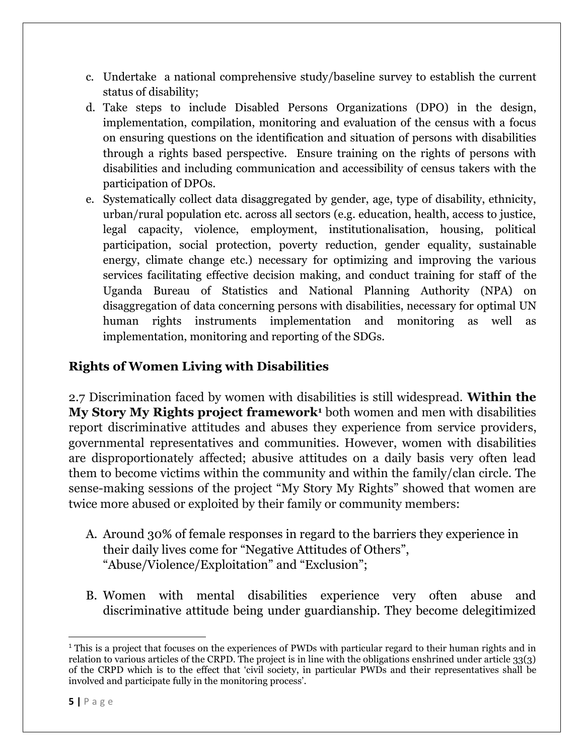- c. Undertake a national comprehensive study/baseline survey to establish the current status of disability;
- d. Take steps to include Disabled Persons Organizations (DPO) in the design, implementation, compilation, monitoring and evaluation of the census with a focus on ensuring questions on the identification and situation of persons with disabilities through a rights based perspective. Ensure training on the rights of persons with disabilities and including communication and accessibility of census takers with the participation of DPOs.
- e. Systematically collect data disaggregated by gender, age, type of disability, ethnicity, urban/rural population etc. across all sectors (e.g. education, health, access to justice, legal capacity, violence, employment, institutionalisation, housing, political participation, social protection, poverty reduction, gender equality, sustainable energy, climate change etc.) necessary for optimizing and improving the various services facilitating effective decision making, and conduct training for staff of the Uganda Bureau of Statistics and National Planning Authority (NPA) on disaggregation of data concerning persons with disabilities, necessary for optimal UN human rights instruments implementation and monitoring as well as implementation, monitoring and reporting of the SDGs.

# **Rights of Women Living with Disabilities**

2.7 Discrimination faced by women with disabilities is still widespread. **Within the My Story My Rights project framework<sup>1</sup>** both women and men with disabilities report discriminative attitudes and abuses they experience from service providers, governmental representatives and communities. However, women with disabilities are disproportionately affected; abusive attitudes on a daily basis very often lead them to become victims within the community and within the family/clan circle. The sense-making sessions of the project "My Story My Rights" showed that women are twice more abused or exploited by their family or community members:

- A. Around 30% of female responses in regard to the barriers they experience in their daily lives come for "Negative Attitudes of Others", "Abuse/Violence/Exploitation" and "Exclusion";
- B. Women with mental disabilities experience very often abuse and discriminative attitude being under guardianship. They become delegitimized

 $\overline{\phantom{a}}$ 

<sup>&</sup>lt;sup>1</sup> This is a project that focuses on the experiences of PWDs with particular regard to their human rights and in relation to various articles of the CRPD. The project is in line with the obligations enshrined under article 33(3) of the CRPD which is to the effect that 'civil society, in particular PWDs and their representatives shall be involved and participate fully in the monitoring process'.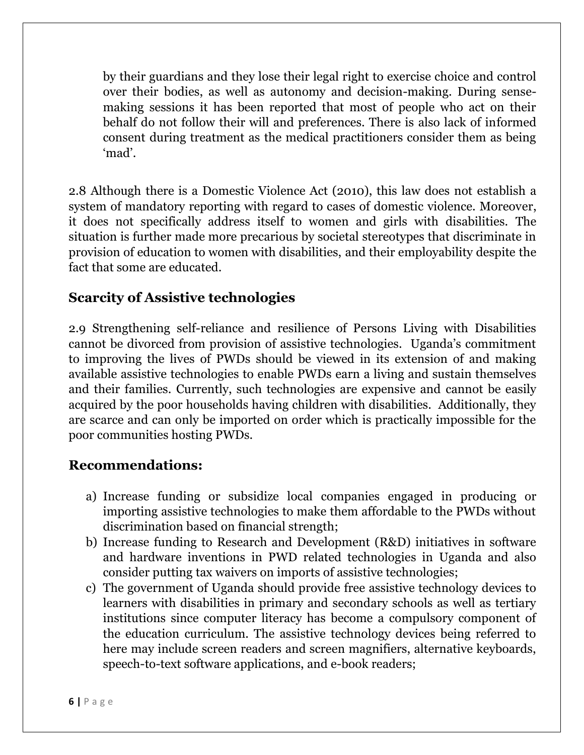by their guardians and they lose their legal right to exercise choice and control over their bodies, as well as autonomy and decision-making. During sensemaking sessions it has been reported that most of people who act on their behalf do not follow their will and preferences. There is also lack of informed consent during treatment as the medical practitioners consider them as being 'mad'.

2.8 Although there is a Domestic Violence Act (2010), this law does not establish a system of mandatory reporting with regard to cases of domestic violence. Moreover, it does not specifically address itself to women and girls with disabilities. The situation is further made more precarious by societal stereotypes that discriminate in provision of education to women with disabilities, and their employability despite the fact that some are educated.

# **Scarcity of Assistive technologies**

2.9 Strengthening self-reliance and resilience of Persons Living with Disabilities cannot be divorced from provision of assistive technologies. Uganda's commitment to improving the lives of PWDs should be viewed in its extension of and making available assistive technologies to enable PWDs earn a living and sustain themselves and their families. Currently, such technologies are expensive and cannot be easily acquired by the poor households having children with disabilities. Additionally, they are scarce and can only be imported on order which is practically impossible for the poor communities hosting PWDs.

- a) Increase funding or subsidize local companies engaged in producing or importing assistive technologies to make them affordable to the PWDs without discrimination based on financial strength;
- b) Increase funding to Research and Development (R&D) initiatives in software and hardware inventions in PWD related technologies in Uganda and also consider putting tax waivers on imports of assistive technologies;
- c) The government of Uganda should provide free assistive technology devices to learners with disabilities in primary and secondary schools as well as tertiary institutions since computer literacy has become a compulsory component of the education curriculum. The assistive technology devices being referred to here may include screen readers and screen magnifiers, alternative keyboards, speech-to-text software applications, and e-book readers;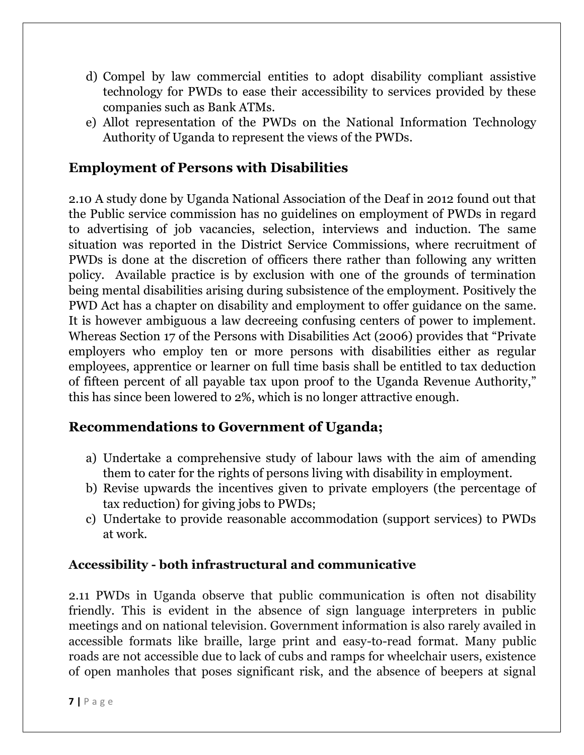- d) Compel by law commercial entities to adopt disability compliant assistive technology for PWDs to ease their accessibility to services provided by these companies such as Bank ATMs.
- e) Allot representation of the PWDs on the National Information Technology Authority of Uganda to represent the views of the PWDs.

# **Employment of Persons with Disabilities**

2.10 A study done by Uganda National Association of the Deaf in 2012 found out that the Public service commission has no guidelines on employment of PWDs in regard to advertising of job vacancies, selection, interviews and induction. The same situation was reported in the District Service Commissions, where recruitment of PWDs is done at the discretion of officers there rather than following any written policy. Available practice is by exclusion with one of the grounds of termination being mental disabilities arising during subsistence of the employment. Positively the PWD Act has a chapter on disability and employment to offer guidance on the same. It is however ambiguous a law decreeing confusing centers of power to implement. Whereas Section 17 of the Persons with Disabilities Act (2006) provides that "Private employers who employ ten or more persons with disabilities either as regular employees, apprentice or learner on full time basis shall be entitled to tax deduction of fifteen percent of all payable tax upon proof to the Uganda Revenue Authority," this has since been lowered to 2%, which is no longer attractive enough.

# **Recommendations to Government of Uganda;**

- a) Undertake a comprehensive study of labour laws with the aim of amending them to cater for the rights of persons living with disability in employment.
- b) Revise upwards the incentives given to private employers (the percentage of tax reduction) for giving jobs to PWDs;
- c) Undertake to provide reasonable accommodation (support services) to PWDs at work.

#### **Accessibility - both infrastructural and communicative**

2.11 PWDs in Uganda observe that public communication is often not disability friendly. This is evident in the absence of sign language interpreters in public meetings and on national television. Government information is also rarely availed in accessible formats like braille, large print and easy-to-read format. Many public roads are not accessible due to lack of cubs and ramps for wheelchair users, existence of open manholes that poses significant risk, and the absence of beepers at signal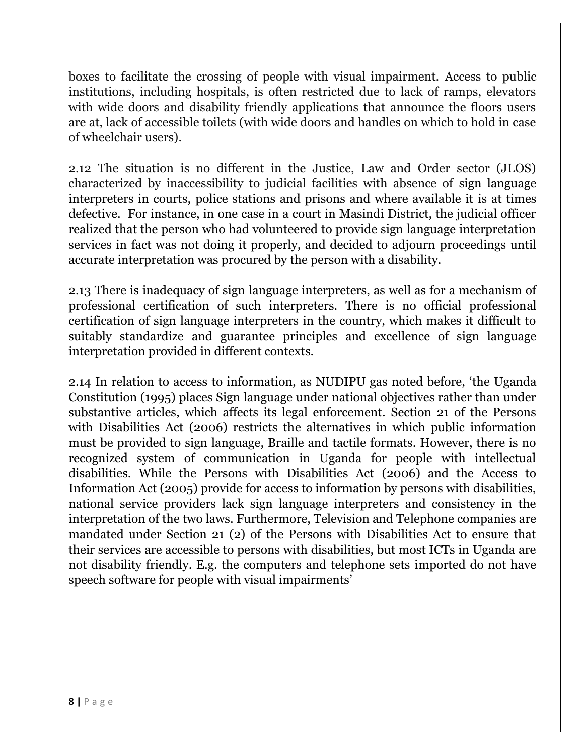boxes to facilitate the crossing of people with visual impairment. Access to public institutions, including hospitals, is often restricted due to lack of ramps, elevators with wide doors and disability friendly applications that announce the floors users are at, lack of accessible toilets (with wide doors and handles on which to hold in case of wheelchair users).

2.12 The situation is no different in the Justice, Law and Order sector (JLOS) characterized by inaccessibility to judicial facilities with absence of sign language interpreters in courts, police stations and prisons and where available it is at times defective. For instance, in one case in a court in Masindi District, the judicial officer realized that the person who had volunteered to provide sign language interpretation services in fact was not doing it properly, and decided to adjourn proceedings until accurate interpretation was procured by the person with a disability.

2.13 There is inadequacy of sign language interpreters, as well as for a mechanism of professional certification of such interpreters. There is no official professional certification of sign language interpreters in the country, which makes it difficult to suitably standardize and guarantee principles and excellence of sign language interpretation provided in different contexts.

2.14 In relation to access to information, as NUDIPU gas noted before, 'the Uganda Constitution (1995) places Sign language under national objectives rather than under substantive articles, which affects its legal enforcement. Section 21 of the Persons with Disabilities Act (2006) restricts the alternatives in which public information must be provided to sign language, Braille and tactile formats. However, there is no recognized system of communication in Uganda for people with intellectual disabilities. While the Persons with Disabilities Act (2006) and the Access to Information Act (2005) provide for access to information by persons with disabilities, national service providers lack sign language interpreters and consistency in the interpretation of the two laws. Furthermore, Television and Telephone companies are mandated under Section 21 (2) of the Persons with Disabilities Act to ensure that their services are accessible to persons with disabilities, but most ICTs in Uganda are not disability friendly. E.g. the computers and telephone sets imported do not have speech software for people with visual impairments'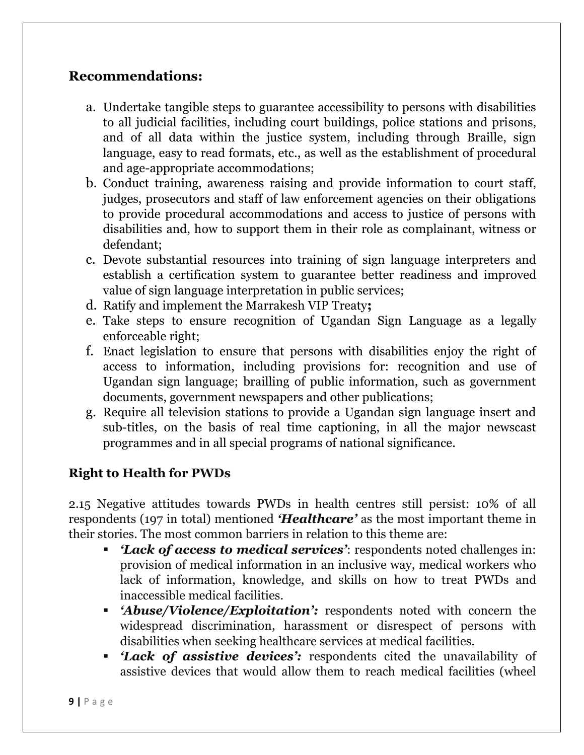# **Recommendations:**

- a. Undertake tangible steps to guarantee accessibility to persons with disabilities to all judicial facilities, including court buildings, police stations and prisons, and of all data within the justice system, including through Braille, sign language, easy to read formats, etc., as well as the establishment of procedural and age-appropriate accommodations;
- b. Conduct training, awareness raising and provide information to court staff, judges, prosecutors and staff of law enforcement agencies on their obligations to provide procedural accommodations and access to justice of persons with disabilities and, how to support them in their role as complainant, witness or defendant;
- c. Devote substantial resources into training of sign language interpreters and establish a certification system to guarantee better readiness and improved value of sign language interpretation in public services;
- d. Ratify and implement the Marrakesh VIP Treaty**;**
- e. Take steps to ensure recognition of Ugandan Sign Language as a legally enforceable right;
- f. Enact legislation to ensure that persons with disabilities enjoy the right of access to information, including provisions for: recognition and use of Ugandan sign language; brailling of public information, such as government documents, government newspapers and other publications;
- g. Require all television stations to provide a Ugandan sign language insert and sub-titles, on the basis of real time captioning, in all the major newscast programmes and in all special programs of national significance.

# **Right to Health for PWDs**

2.15 Negative attitudes towards PWDs in health centres still persist: 10% of all respondents (197 in total) mentioned *'Healthcare'* as the most important theme in their stories. The most common barriers in relation to this theme are:

- *'Lack of access to medical services'*: respondents noted challenges in: provision of medical information in an inclusive way, medical workers who lack of information, knowledge, and skills on how to treat PWDs and inaccessible medical facilities.
- *'Abuse/Violence/Exploitation':* respondents noted with concern the widespread discrimination, harassment or disrespect of persons with disabilities when seeking healthcare services at medical facilities.
- *'Lack of assistive devices':* respondents cited the unavailability of assistive devices that would allow them to reach medical facilities (wheel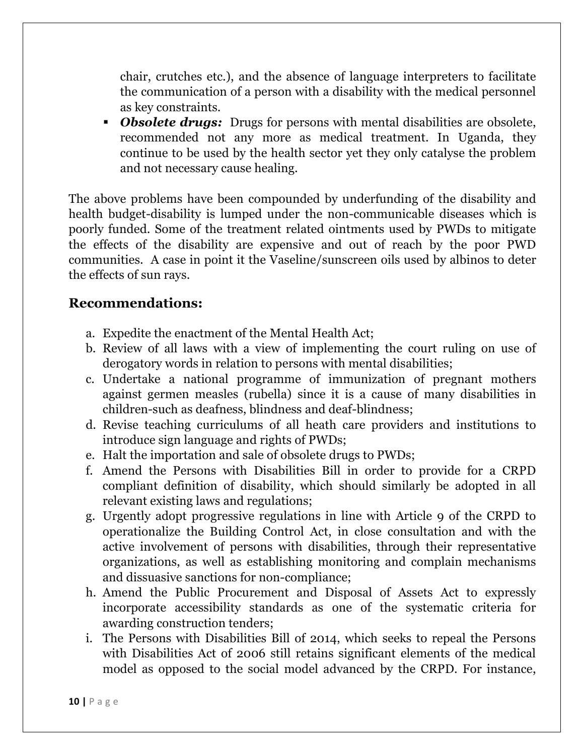chair, crutches etc.), and the absence of language interpreters to facilitate the communication of a person with a disability with the medical personnel as key constraints.

 *Obsolete drugs:* Drugs for persons with mental disabilities are obsolete, recommended not any more as medical treatment. In Uganda, they continue to be used by the health sector yet they only catalyse the problem and not necessary cause healing.

The above problems have been compounded by underfunding of the disability and health budget-disability is lumped under the non-communicable diseases which is poorly funded. Some of the treatment related ointments used by PWDs to mitigate the effects of the disability are expensive and out of reach by the poor PWD communities. A case in point it the Vaseline/sunscreen oils used by albinos to deter the effects of sun rays.

- a. Expedite the enactment of the Mental Health Act;
- b. Review of all laws with a view of implementing the court ruling on use of derogatory words in relation to persons with mental disabilities;
- c. Undertake a national programme of immunization of pregnant mothers against germen measles (rubella) since it is a cause of many disabilities in children-such as deafness, blindness and deaf-blindness;
- d. Revise teaching curriculums of all heath care providers and institutions to introduce sign language and rights of PWDs;
- e. Halt the importation and sale of obsolete drugs to PWDs;
- f. Amend the Persons with Disabilities Bill in order to provide for a CRPD compliant definition of disability, which should similarly be adopted in all relevant existing laws and regulations;
- g. Urgently adopt progressive regulations in line with Article 9 of the CRPD to operationalize the Building Control Act, in close consultation and with the active involvement of persons with disabilities, through their representative organizations, as well as establishing monitoring and complain mechanisms and dissuasive sanctions for non-compliance;
- h. Amend the Public Procurement and Disposal of Assets Act to expressly incorporate accessibility standards as one of the systematic criteria for awarding construction tenders;
- i. The Persons with Disabilities Bill of 2014, which seeks to repeal the Persons with Disabilities Act of 2006 still retains significant elements of the medical model as opposed to the social model advanced by the CRPD. For instance,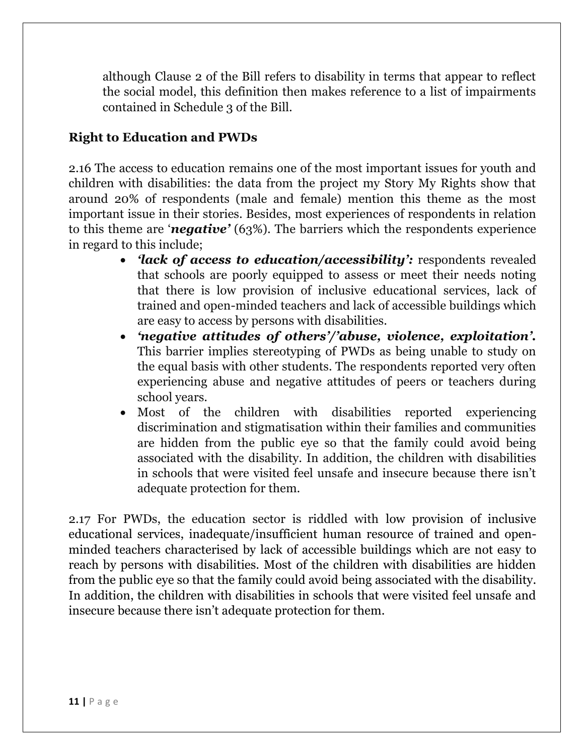although Clause 2 of the Bill refers to disability in terms that appear to reflect the social model, this definition then makes reference to a list of impairments contained in Schedule 3 of the Bill.

# **Right to Education and PWDs**

2.16 The access to education remains one of the most important issues for youth and children with disabilities: the data from the project my Story My Rights show that around 20% of respondents (male and female) mention this theme as the most important issue in their stories. Besides, most experiences of respondents in relation to this theme are '*negative'* (63%). The barriers which the respondents experience in regard to this include;

- *'lack of access to education/accessibility':* respondents revealed that schools are poorly equipped to assess or meet their needs noting that there is low provision of inclusive educational services, lack of trained and open-minded teachers and lack of accessible buildings which are easy to access by persons with disabilities.
- *'negative attitudes of others'/'abuse, violence, exploitation'.* This barrier implies stereotyping of PWDs as being unable to study on the equal basis with other students. The respondents reported very often experiencing abuse and negative attitudes of peers or teachers during school years.
- Most of the children with disabilities reported experiencing discrimination and stigmatisation within their families and communities are hidden from the public eye so that the family could avoid being associated with the disability. In addition, the children with disabilities in schools that were visited feel unsafe and insecure because there isn't adequate protection for them.

2.17 For PWDs, the education sector is riddled with low provision of inclusive educational services, inadequate/insufficient human resource of trained and openminded teachers characterised by lack of accessible buildings which are not easy to reach by persons with disabilities. Most of the children with disabilities are hidden from the public eye so that the family could avoid being associated with the disability. In addition, the children with disabilities in schools that were visited feel unsafe and insecure because there isn't adequate protection for them.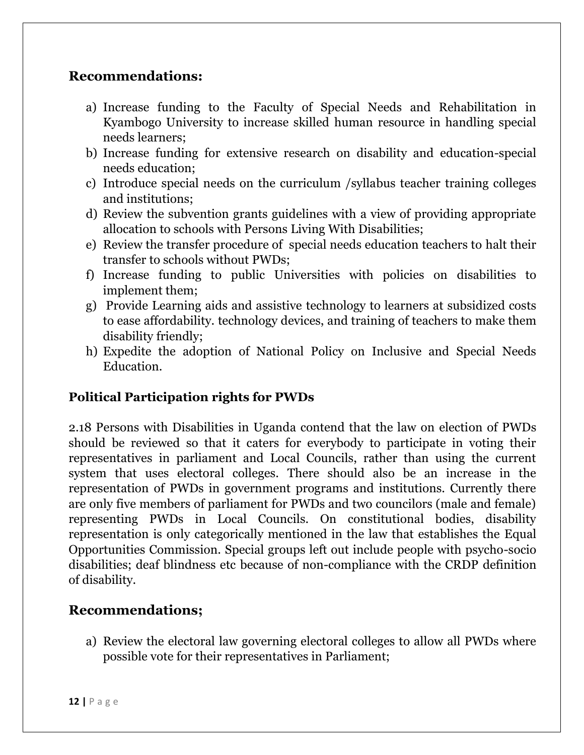### **Recommendations:**

- a) Increase funding to the Faculty of Special Needs and Rehabilitation in Kyambogo University to increase skilled human resource in handling special needs learners;
- b) Increase funding for extensive research on disability and education-special needs education;
- c) Introduce special needs on the curriculum /syllabus teacher training colleges and institutions;
- d) Review the subvention grants guidelines with a view of providing appropriate allocation to schools with Persons Living With Disabilities;
- e) Review the transfer procedure of special needs education teachers to halt their transfer to schools without PWDs;
- f) Increase funding to public Universities with policies on disabilities to implement them;
- g) Provide Learning aids and assistive technology to learners at subsidized costs to ease affordability. technology devices, and training of teachers to make them disability friendly;
- h) Expedite the adoption of National Policy on Inclusive and Special Needs Education.

#### **Political Participation rights for PWDs**

2.18 Persons with Disabilities in Uganda contend that the law on election of PWDs should be reviewed so that it caters for everybody to participate in voting their representatives in parliament and Local Councils, rather than using the current system that uses electoral colleges. There should also be an increase in the representation of PWDs in government programs and institutions. Currently there are only five members of parliament for PWDs and two councilors (male and female) representing PWDs in Local Councils. On constitutional bodies, disability representation is only categorically mentioned in the law that establishes the Equal Opportunities Commission. Special groups left out include people with psycho-socio disabilities; deaf blindness etc because of non-compliance with the CRDP definition of disability.

# **Recommendations;**

a) Review the electoral law governing electoral colleges to allow all PWDs where possible vote for their representatives in Parliament;